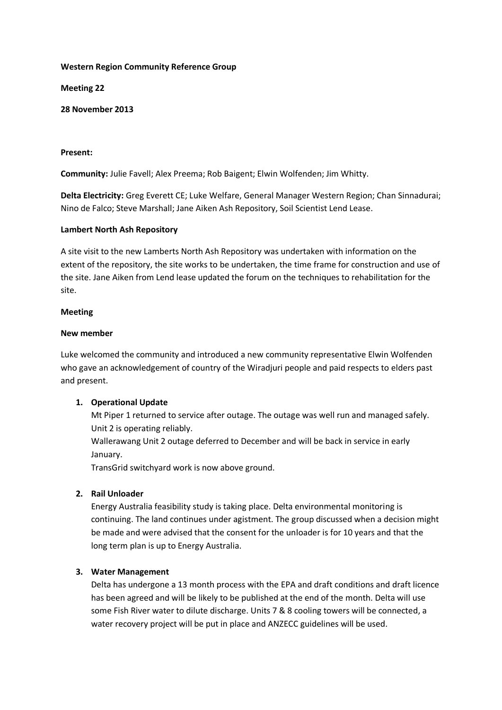## **Western Region Community Reference Group**

**Meeting 22**

**28 November 2013**

### **Present:**

**Community:** Julie Favell; Alex Preema; Rob Baigent; Elwin Wolfenden; Jim Whitty.

**Delta Electricity:** Greg Everett CE; Luke Welfare, General Manager Western Region; Chan Sinnadurai; Nino de Falco; Steve Marshall; Jane Aiken Ash Repository, Soil Scientist Lend Lease.

### **Lambert North Ash Repository**

A site visit to the new Lamberts North Ash Repository was undertaken with information on the extent of the repository, the site works to be undertaken, the time frame for construction and use of the site. Jane Aiken from Lend lease updated the forum on the techniques to rehabilitation for the site.

#### **Meeting**

### **New member**

Luke welcomed the community and introduced a new community representative Elwin Wolfenden who gave an acknowledgement of country of the Wiradjuri people and paid respects to elders past and present.

## **1. Operational Update**

Mt Piper 1 returned to service after outage. The outage was well run and managed safely. Unit 2 is operating reliably.

Wallerawang Unit 2 outage deferred to December and will be back in service in early January.

TransGrid switchyard work is now above ground.

## **2. Rail Unloader**

Energy Australia feasibility study is taking place. Delta environmental monitoring is continuing. The land continues under agistment. The group discussed when a decision might be made and were advised that the consent for the unloader is for 10 years and that the long term plan is up to Energy Australia.

## **3. Water Management**

Delta has undergone a 13 month process with the EPA and draft conditions and draft licence has been agreed and will be likely to be published at the end of the month. Delta will use some Fish River water to dilute discharge. Units 7 & 8 cooling towers will be connected, a water recovery project will be put in place and ANZECC guidelines will be used.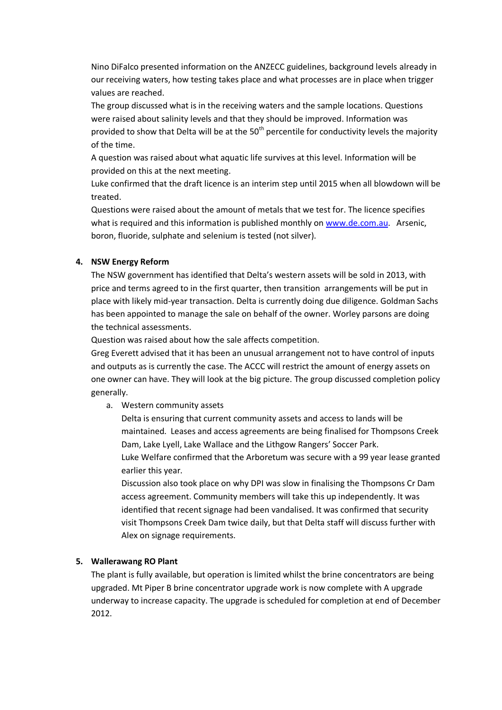Nino DiFalco presented information on the ANZECC guidelines, background levels already in our receiving waters, how testing takes place and what processes are in place when trigger values are reached.

The group discussed what is in the receiving waters and the sample locations. Questions were raised about salinity levels and that they should be improved. Information was provided to show that Delta will be at the  $50<sup>th</sup>$  percentile for conductivity levels the majority of the time.

A question was raised about what aquatic life survives at this level. Information will be provided on this at the next meeting.

Luke confirmed that the draft licence is an interim step until 2015 when all blowdown will be treated.

Questions were raised about the amount of metals that we test for. The licence specifies what is required and this information is published monthly on [www.de.com.au.](http://www.de.com.au/) Arsenic, boron, fluoride, sulphate and selenium is tested (not silver).

# **4. NSW Energy Reform**

The NSW government has identified that Delta's western assets will be sold in 2013, with price and terms agreed to in the first quarter, then transition arrangements will be put in place with likely mid-year transaction. Delta is currently doing due diligence. Goldman Sachs has been appointed to manage the sale on behalf of the owner. Worley parsons are doing the technical assessments.

Question was raised about how the sale affects competition.

Greg Everett advised that it has been an unusual arrangement not to have control of inputs and outputs as is currently the case. The ACCC will restrict the amount of energy assets on one owner can have. They will look at the big picture. The group discussed completion policy generally.

a. Western community assets

Delta is ensuring that current community assets and access to lands will be maintained. Leases and access agreements are being finalised for Thompsons Creek Dam, Lake Lyell, Lake Wallace and the Lithgow Rangers' Soccer Park.

Luke Welfare confirmed that the Arboretum was secure with a 99 year lease granted earlier this year.

Discussion also took place on why DPI was slow in finalising the Thompsons Cr Dam access agreement. Community members will take this up independently. It was identified that recent signage had been vandalised. It was confirmed that security visit Thompsons Creek Dam twice daily, but that Delta staff will discuss further with Alex on signage requirements.

# **5. Wallerawang RO Plant**

The plant is fully available, but operation is limited whilst the brine concentrators are being upgraded. Mt Piper B brine concentrator upgrade work is now complete with A upgrade underway to increase capacity. The upgrade is scheduled for completion at end of December 2012.